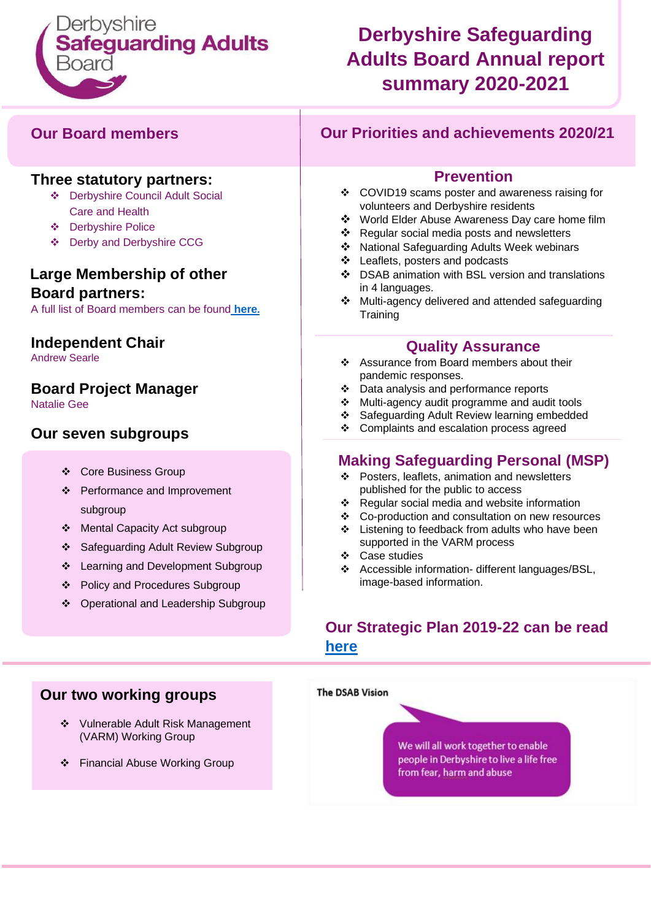

### **Derbyshire Safeguarding Adults Board Annual report summary 2020-2021**

#### **Our Board members**

#### **Three statutory partners:**

- ❖ Derbyshire Council Adult Social Care and Health
- ❖ Derbyshire Police
- ❖ Derby and Derbyshire CCG

#### **Large Membership of other Board partners:**

A full list of Board members can be found **[here](https://www.derbyshiresab.org.uk/about-us/membership.aspx)[.](https://www.derbyshiresab.org.uk/about-us/membership.aspx)**

#### **Independent Chair**

Andrew Searle

#### **Board Project Manager**

Natalie Gee

#### **Our seven subgroups**

- ❖ Core Business Group
- ❖ Performance and Improvement subgroup
- ❖ Mental Capacity Act subgroup
- ❖ Safeguarding Adult Review Subgroup
- ❖ Learning and Development Subgroup
- ❖ Policy and Procedures Subgroup
- ❖ Operational and Leadership Subgroup

#### **Our Priorities and achievements 2020/21**

#### **Prevention**

- ❖ COVID19 scams poster and awareness raising for volunteers and Derbyshire residents
- ❖ World Elder Abuse Awareness Day care home film
- ❖ Regular social media posts and newsletters
- ❖ National Safeguarding Adults Week webinars
- ❖ Leaflets, posters and podcasts
- ❖ DSAB animation with BSL version and translations in 4 languages.
- ❖ Multi-agency delivered and attended safeguarding **Training**

#### **Quality Assurance**

- ❖ Assurance from Board members about their pandemic responses.
- ❖ Data analysis and performance reports
- ❖ Multi-agency audit programme and audit tools
- ❖ Safeguarding Adult Review learning embedded
- ❖ Complaints and escalation process agreed

#### **Making Safeguarding Personal (MSP)**

- ❖ Posters, leaflets, animation and newsletters published for the public to access
- ❖ Regular social media and website information
- ❖ Co-production and consultation on new resources
- ❖ Listening to feedback from adults who have been
- supported in the VARM process
- ❖ Case studies
- ❖ Accessible information- different languages/BSL, image-based information.

#### **Our Strategic Plan 2019-22 can be read [here](https://www.derbyshiresab.org.uk/site-elements/documents/pdf/derbyshire-safeguarding-adults-board-strategic-plan-2019-to-2022.pdf)**



#### **Our two working groups**

- ❖ Vulnerable Adult Risk Management (VARM) Working Group
- ❖ Financial Abuse Working Group